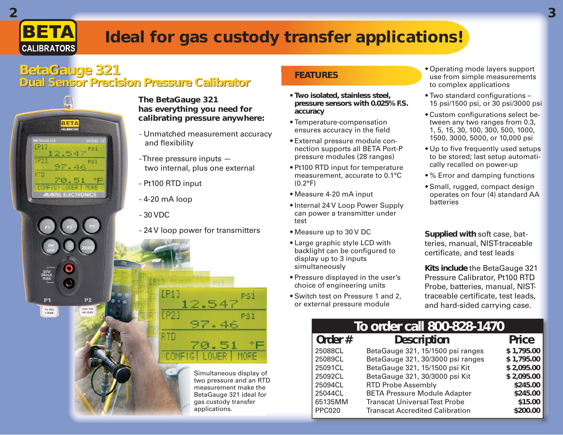## **BETA CALIBRATORS**

# **Ideal for gas custody transfer applications!**

### **BetaGauge 321 Dual Sensor Precision Pressure Calibrator Dual Sensor Precision Pressure Calibrator**



#### **The BetaGauge 321 has everything you need for calibrating pressure anywhere:**

- Unmatched measurement accuracy and flexibility
- Three pressure inputs two internal, plus one external
- Pt100 RTD input
- 4-20 mA loop
- 24 V loop power for transmitters

12.547

97.46

Simultaneous display of two pressure and an RTD measurement make the BetaGauge 321 ideal for gas custody transfer applications.

PS1

### **FEATURES**

- **Two isolated, stainless steel, pressure sensors with 0.025% F.S. accuracy**
- Temperature-compensation ensures accuracy in the field
- External pressure module connection supports all BETA Port-P pressure modules (28 ranges)
- Pt100 RTD input for temperature measurement, accurate to 0.1°C (0.2°F)
- Measure 4-20 mA input
- Internal 24 V Loop Power Supply can power a transmitter under test
- Measure up to 30 V DC
- Large graphic style LCD with backlight can be configured to display up to 3 inputs simultaneously
- Pressure displayed in the user's choice of engineering units
- Switch test on Pressure 1 and 2, or external pressure module
- Operating mode layers support use from simple measurements to complex applications
- $\bullet$  Two standard configurations 15 psi/1500 psi, or 30 psi/3000 psi
- Custom configurations select between any two ranges from 0.3, 1, 5, 15, 30, 100, 300, 500, 1000, 1500, 3000, 5000, or 10,000 psi
- Up to five frequently used setups to be stored; last setup automatically recalled on power-up
- % Error and damping functions
- Small, rugged, compact design operates on four (4) standard AA batteries

**Supplied with** soft case, batteries, manual, NIST-traceable certificate, and test leads

**Kits include** the BetaGauge 321 Pressure Calibrator, Pt100 RTD Probe, batteries, manual, NISTtraceable certificate, test leads, and hard-sided carrying case.

| To order call 800-828-1470 |                                        |              |  |
|----------------------------|----------------------------------------|--------------|--|
| Order#                     | <b>Description</b>                     | <b>Price</b> |  |
| 25088CL                    | BetaGauge 321, 15/1500 psi ranges      | \$1,795.00   |  |
| 25089CL                    | BetaGauge 321, 30/3000 psi ranges      | \$1,795.00   |  |
| 25091CL                    | BetaGauge 321, 15/1500 psi Kit         | \$2,095.00   |  |
| 25092CL                    | BetaGauge 321, 30/3000 psi Kit         | \$2,095.00   |  |
| 25094CL                    | <b>RTD Probe Assembly</b>              | \$245.00     |  |
| 25044CL                    | <b>BETA Pressure Module Adapter</b>    | \$245.00     |  |
| 65135MM                    | <b>Transcat Universal Test Probe</b>   | \$15.00      |  |
| <b>PPC020</b>              | <b>Transcat Accredited Calibration</b> | \$200.00     |  |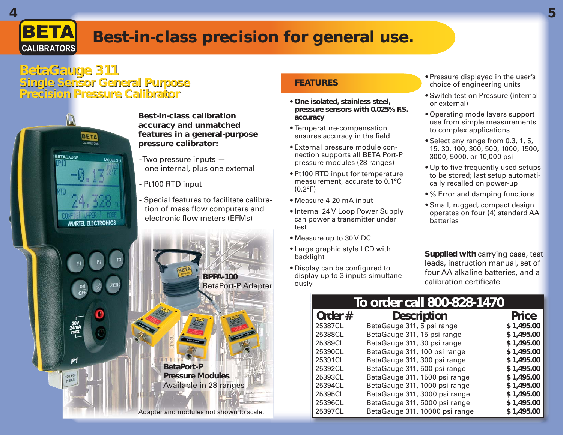

## **Best-in-class precision for general use.**

### **BetaGauge 311 Single Sensor General Purpose Precision Pressure Calibrator Pressure**



#### **FEATURES**

- **One isolated, stainless steel, pressure sensors with 0.025% F.S. accuracy**
- Temperature-compensation ensures accuracy in the field
- External pressure module connection supports all BETA Port-P pressure modules (28 ranges)
- Pt100 RTD input for temperature measurement, accurate to 0.1°C  $(0.2^{\circ}F)$
- Measure 4-20 mA input
- Internal 24 V Loop Power Supply can power a transmitter under test
- Measure up to 30 V DC
- Large graphic style LCD with backlight
- Display can be configured to display up to 3 inputs simultaneously
- Pressure displayed in the user's choice of engineering units
- Switch test on Pressure (internal or external)
- Operating mode layers support use from simple measurements to complex applications
- Select any range from 0.3, 1, 5, 15, 30, 100, 300, 500, 1000, 1500, 3000, 5000, or 10,000 psi
- Up to five frequently used setups to be stored; last setup automatically recalled on power-up
- % Error and damping functions
- Small, rugged, compact design operates on four (4) standard AA batteries

**Supplied with** carrying case, test leads, instruction manual, set of four AA alkaline batteries, and a calibration certificate

#### **To order call 800-828-1470<br>
<b>Order #** Description Price<br> **Description** Price<br> **Description** 811.5 psi range<br> **S** 1.495.00 25387CL BetaGauge 311, 5 psi range **\$ 1,495.00** 25388CL BetaGauge 311, 15 psi range **\$ 1,495.00** 25389CL BetaGauge 311, 30 psi range **\$ 1,495.00** 25390CL BetaGauge 311, 100 psi range **\$ 1,495.00** 25391CL BetaGauge 311, 300 psi range **\$ 1,495.00** 25392CL BetaGauge 311, 500 psi range **\$ 1,495.00** 25393CL BetaGauge 311, 1500 psi range **\$ 1,495.00**  25394CL BetaGauge 311, 1000 psi range **\$ 1,495.00** 25395CL BetaGauge 311, 3000 psi range **\$ 1,495.00** 25396CL BetaGauge 311, 5000 psi range **\$ 1,495.00** 25397CL BetaGauge 311, 10000 psi range **\$ 1,495.00**